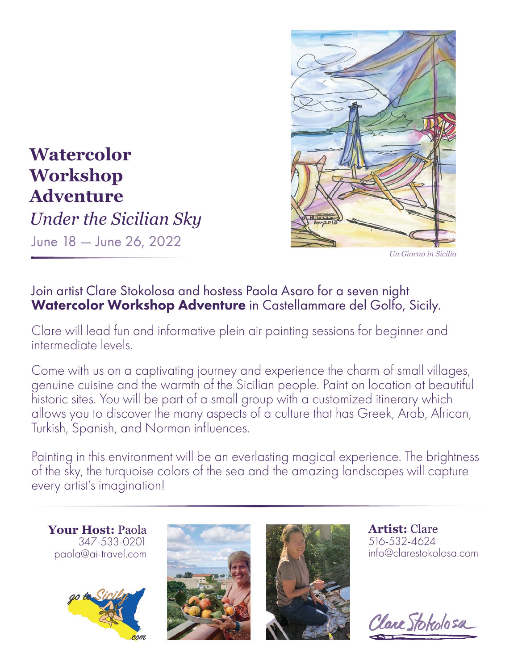

*Un Giorno in Sicilia*

## **Watercolor Workshop Adventure** *Under the Sicilian Sky*

June 18 — June 26, 2022

### Join artist Clare Stokolosa and hostess Paola Asaro for a seven night Watercolor Workshop Adventure in [Castellammare del Golfo](https://www.castellammaredelgolfo.sicilia.it/), Sicily.

Clare will lead fun and informative plein air painting sessions for beginner and intermediate levels.

Come with us on a captivating journey and experience the charm of small villages, genuine cuisine and the warmth of the Sicilian people. Paint on location at beautiful historic sites. You will be part of a small group with a customized itinerary which allows you to discover the many aspects of a culture that has Greek, Arab, African, Turkish, Spanish, and Norman influences.

Painting in this environment will be an everlasting magical experience. The brightness of the sky, the turquoise colors of the sea and the amazing landscapes will capture every artist's imagination!

**Your Host:** Paola 347-533-0201 paola@ai-travel.com







**Artist:** Clare 516-532-4624 info@clarestokolosa.com

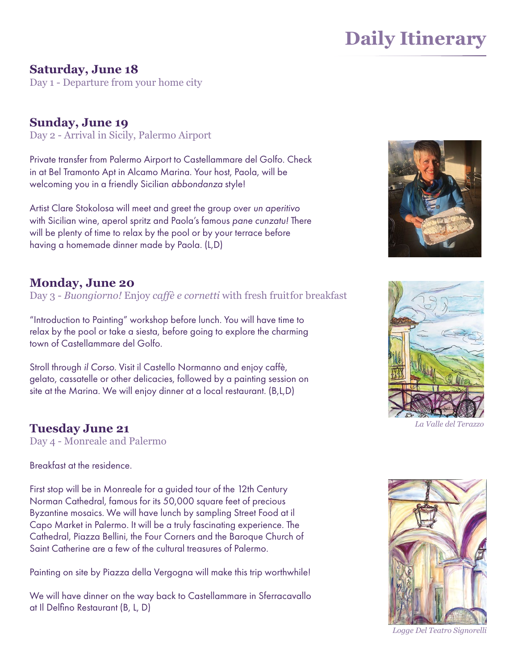# **Daily Itinerary**

#### **Saturday, June 18**

Day 1 - Departure from your home city

**Sunday, June 19** Day 2 - Arrival in Sicily, Palermo Airport

Private transfer from Palermo Airport to [Castellammare del Golfo. C](https://www.castellammaredelgolfo.sicilia.it/)heck in at [Bel Tramonto Apt in Alcamo Mar](https://www.google.com/maps/place/Villa+Bel+Tramonto/@38.0236486,12.9148742,15z/data=!4m8!3m7!1s0x0:)ina. Your host, Paola, will be welcoming you in a friendly Sicilian *abbondanza* style!

Artist Clare Stokolosa will meet and greet the group over *un aperitivo*  with Sicilian wine, aperol spritz and Paola's famous *pane cunzatu!* There will be plenty of time to relax by the pool or by your terrace before having a homemade dinner made by Paola. (L,D)

#### **Monday, June 20**

Day 3 *- Buongiorno!* Enjoy *caffè e cornetti* with fresh fruitfor breakfast

"Introduction to Painting" workshop before lunch. You will have time to relax by the pool or take a siesta, before going to explore the charming town of Castellammare del Golfo.

Stroll through *il Corso.* Visit il Castello Normanno and enjoy caffè, gelato, cassatelle or other delicacies, followed by a painting session on site at the Marina. We will enjoy dinner at a local restaurant. (B,L,D)

### **Tuesday June 21**

Day 4 - Monreale and Palermo

Breakfast at the residence.

First stop will be in Monreale for a guided tour of the 12th Century Norman Cathedral, famous for its 50,000 square feet of precious Byzantine mosaics. We will have lunch by sampling Street Food at il [Capo Market in Palermo.](https://www.youtube.com/watch?v=k9yjF6Kz54I) It will be a truly fascinating experience. The Cathedral, Piazza Bellini, the Four Corners and the Baroque Church of Saint Catherine are a few of the cultural treasures of Palermo.

Painting on site by Piazza della Vergogna will make this trip worthwhile!

We will have dinner on the way back to Castellammare in Sferracavallo at Il Delfino Restaurant (B, L, D)





*La Valle del Terazzo*



*Logge Del Teatro Signorelli*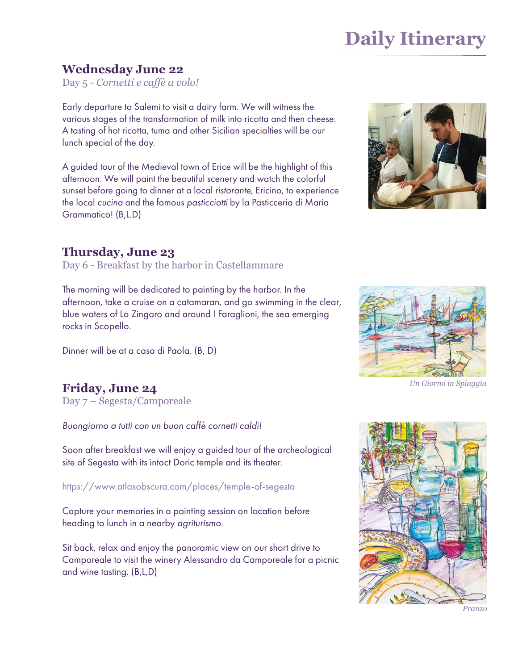# **Daily Itinerary**

#### **Wednesday June 22**

Day 5 - *Cornetti e caffè a volo!*

Early departure to Salemi [to visit a dairy farm. W](https://www.aziendacucchiara.it/)e will witness the various stages of the transformation of milk into ricotta and then cheese. A tasting of hot ricotta, tuma and other Sicilian specialties will be our lunch special of the day.

A guided tour of the Medieval town of Erice will be the highlight of this afternoon. We will paint the beautiful scenery and watch the colorful sunset before going to dinner at a local *ristorante,* Ericino, to experience the local *cucina* and the famous *pasticciotti* by la Pasticceria di Maria Grammatico! (B,L.D)



#### **Thursday, June 23**

Day 6 - Breakfast by [the harbor in Castellammare](https://en.wikipedia.org/wiki/Castellammare_del_Golfo)

The morning will be dedicated to painting by the harbor. In the afternoon, take a cruise on a catamaran, and go swimming in the clear, [blue waters of Lo Zingaro and ar](https://www.thethinkingtraveller.com/italy/sicily/scenic-areas-in-sicily/lo-zingaro-nature-reserve)ound I Faraglioni, the sea emerging rocks in Scopello.

Dinner will be at a casa di Paola. (B, D)

### **Friday, June 24**

Day 7 – Segesta/Camporeale

*Buongiorno a tutti con un buon caffe cornetti caldi!* 

Soon after breakfast we will enjoy a guided tour of the archeological site of Segesta with its intact Doric temple and its theater.

https://www.atlasobscura.com/places/temple-of-segesta <https://www.atlasobscura.com/places/temple-of-segesta>

Capture your memories in a painting session on location before heading to lunch in a nearby *agriturismo*.

Sit back, relax and enjoy the panoramic view on our short drive to Camporeale to visit the winery Alessandro da Camporeale for a picnic and wine tasting. (B,L,D)



*Un Giorno in Spiaggia*



*Pranzo*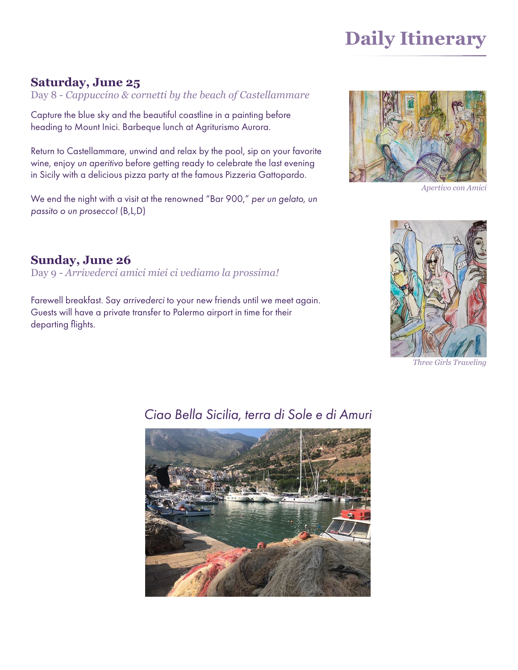# **Daily Itinerary**

#### **Saturday, June 25**

Day 8 - *Cappuccino & cornetti by the beach of Castellammare* 

Capture the blue sky and the beautiful coastline in a painting before heading to [Mount Inici](https://www.google.com/search?q=Mount+Inici&rlz=1C5CHFA_enUS931US931&oq=Mount+Inici&aqs=chrome..69i5). Barbeque lunch at Agriturismo Aurora.

Return to Castellammare, unwind and relax by the pool, sip on your favorite wine, enjoy *un aperitivo* before getting ready to celebrate the last evening in Sicily with a delicious pizza party at the famous Pizzeria Gattopardo.

We end the night with a visit at the renowned ["Bar 900,"](https://www.google.com/search?gs_ssp=eJzj4tZP1zcsSSmzNDO2MGC0UjWoMDQ2tLQwM7G0MDEwskhOtbQyqEgyMbFITEp) per un gelato, un *passito o un prosecco!* (B,L,D)



*Apertivo con Amici*

### **Sunday, June 26**

Day 9 - *Arrivederci amici miei ci vediamo la prossima!* 

Farewell breakfast. Say *arrivederci* to your new friends until we meet again. Guests will have a private transfer to Palermo airport in time for their departing flights.



*Three Girls Traveling*



## *Ciao Bella Sicilia, terra di Sole e di Amuri*